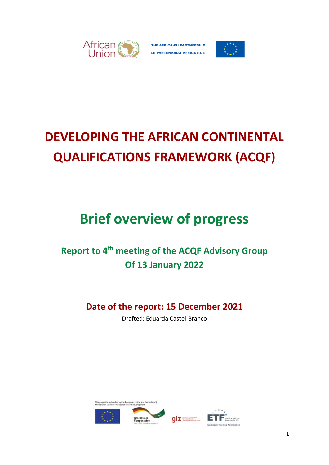

THE AFRICA-EU PARTNERSHIP LE PARTENARIAT AFRIQUE-UE



# **DEVELOPING THE AFRICAN CONTINENTAL QUALIFICATIONS FRAMEWORK (ACQF)**

# **Brief overview of progress**

# **Report to 4 th meeting of the ACQF Advisory Group Of 13 January 2022**

# **Date of the report: 15 December 2021**

Drafted: Eduarda Castel-Branco

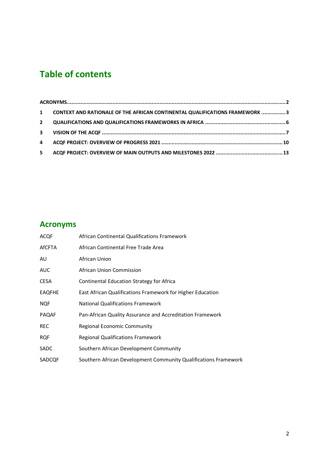# **Table of contents**

|              | 1 CONTEXT AND RATIONALE OF THE AFRICAN CONTINENTAL QUALIFICATIONS FRAMEWORK 3 |  |
|--------------|-------------------------------------------------------------------------------|--|
| $\mathbf{2}$ |                                                                               |  |
|              |                                                                               |  |
|              |                                                                               |  |
| 5            |                                                                               |  |

## <span id="page-1-0"></span>**Acronyms**

| ACQF          | African Continental Qualifications Framework                    |
|---------------|-----------------------------------------------------------------|
| <b>AfCFTA</b> | African Continental Free Trade Area                             |
| AU            | African Union                                                   |
| AUC           | African Union Commission                                        |
| <b>CESA</b>   | Continental Education Strategy for Africa                       |
| <b>EAQFHE</b> | East African Qualifications Framework for Higher Education      |
| <b>NQF</b>    | <b>National Qualifications Framework</b>                        |
| <b>PAQAF</b>  | Pan-African Quality Assurance and Accreditation Framework       |
| <b>REC</b>    | Regional Economic Community                                     |
| <b>RQF</b>    | <b>Regional Qualifications Framework</b>                        |
| SADC          | Southern African Development Community                          |
| SADCQF        | Southern African Development Community Qualifications Framework |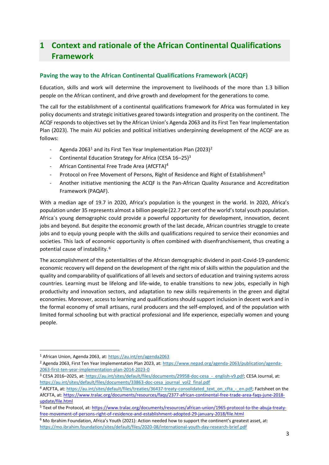## <span id="page-2-0"></span>**1 Context and rationale of the African Continental Qualifications Framework**

#### **Paving the way to the African Continental Qualifications Framework (ACQF)**

Education, skills and work will determine the improvement to livelihoods of the more than 1.3 billion people on the African continent, and drive growth and development for the generations to come.

The call for the establishment of a continental qualifications framework for Africa was formulated in key policy documents and strategic initiatives geared towards integration and prosperity on the continent. The ACQF responds to objectives set by the African Union's Agenda 2063 and its First Ten Year Implementation Plan (2023). The main AU policies and political initiatives underpinning development of the ACQF are as follows:

- Agenda 2063<sup>1</sup> and its First Ten Year Implementation Plan (2023)<sup>2</sup>
- Continental Education Strategy for Africa (CESA 16-25)<sup>3</sup>
- African Continental Free Trade Area (AfCFTA)<sup>4</sup>
- Protocol on Free Movement of Persons, Right of Residence and Right of Establishment<sup>5</sup>
- Another initiative mentioning the ACQF is the Pan-African Quality Assurance and Accreditation Framework (PAQAF).

With a median age of 19.7 in 2020, Africa's population is the youngest in the world. In 2020, Africa's population under 35 represents almost a billion people (22.7 per cent of the world's total youth population. Africa´s young demographic could provide a powerful opportunity for development, innovation, decent jobs and beyond. But despite the economic growth of the last decade, African countries struggle to create jobs and to equip young people with the skills and qualifications required to service their economies and societies. This lack of economic opportunity is often combined with disenfranchisement, thus creating a potential cause of instability. 6

The accomplishment of the potentialities of the African demographic dividend in post-Covid-19-pandemic economic recovery will depend on the development of the right mix of skills within the population and the quality and comparability of qualifications of all levels and sectors of education and training systems across countries. Learning must be lifelong and life-wide, to enable transitions to new jobs, especially in high productivity and innovation sectors, and adaptation to new skills requirements in the green and digital economies. Moreover, access to learning and qualifications should support inclusion in decent work and in the formal economy of small artisans, rural producers and the self-employed, and of the population with limited formal schooling but with practical professional and life experience, especially women and young people.

<sup>3</sup> CESA 2016-2025, at: https://au.int/sites/default/files/documents/29958-doc-cesa - english-v9.pdf; CESA Journal, at: [https://au.int/sites/default/files/documents/33863-doc-cesa\\_journal\\_vol2\\_final.pdf](https://au.int/sites/default/files/documents/33863-doc-cesa_journal_vol2_final.pdf)

<sup>1</sup> African Union, Agenda 2063, at:<https://au.int/en/agenda2063>

<sup>&</sup>lt;sup>2</sup> Agenda 2063, First Ten Year Implementation Plan 2023, at: [https://www.nepad.org/agenda-2063/publication/agenda-](https://www.nepad.org/agenda-2063/publication/agenda-2063-first-ten-year-implementation-plan-2014-2023-0)[2063-first-ten-year-implementation-plan-2014-2023-0](https://www.nepad.org/agenda-2063/publication/agenda-2063-first-ten-year-implementation-plan-2014-2023-0)

<sup>4</sup> AfCFTA, at[: https://au.int/sites/default/files/treaties/36437-treaty-consolidated\\_text\\_on\\_cfta\\_-\\_en.pdf;](https://au.int/sites/default/files/treaties/36437-treaty-consolidated_text_on_cfta_-_en.pdf) Factsheet on the AfCFTA, at[: https://www.tralac.org/documents/resources/faqs/2377-african-continental-free-trade-area-faqs-june-2018](https://www.tralac.org/documents/resources/faqs/2377-african-continental-free-trade-area-faqs-june-2018-update/file.html) [update/file.html](https://www.tralac.org/documents/resources/faqs/2377-african-continental-free-trade-area-faqs-june-2018-update/file.html)

<sup>5</sup> Text of the Protocol, at[: https://www.tralac.org/documents/resources/african-union/1965-protocol-to-the-abuja-treaty](https://www.tralac.org/documents/resources/african-union/1965-protocol-to-the-abuja-treaty-free-movement-of-persons-right-of-residence-and-establishment-adopted-29-january-2018/file.html)[free-movement-of-persons-right-of-residence-and-establishment-adopted-29-january-2018/file.html](https://www.tralac.org/documents/resources/african-union/1965-protocol-to-the-abuja-treaty-free-movement-of-persons-right-of-residence-and-establishment-adopted-29-january-2018/file.html)

<sup>6</sup> Mo Ibrahim Foundation, Africa's Youth (2021): Action needed how to support the continent's greatest asset, at: <https://mo.ibrahim.foundation/sites/default/files/2020-08/international-youth-day-research-brief.pdf>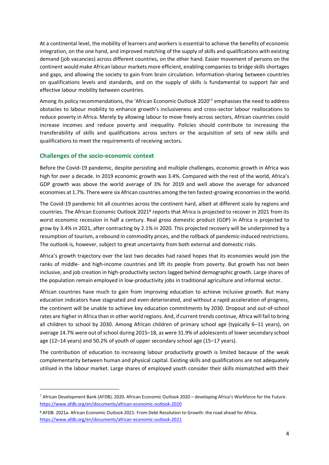At a continental level, the mobility of learners and workers is essential to achieve the benefits of economic integration, on the one hand, and improved matching of the supply of skills and qualifications with existing demand (job vacancies) across different countries, on the other hand. Easier movement of persons on the continent would make African labour markets more efficient, enabling companies to bridge skills shortages and gaps, and allowing the society to gain from brain circulation. Information-sharing between countries on qualifications levels and standards, and on the supply of skills is fundamental to support fair and effective labour mobility between countries.

Among its policy recommendations, the 'African Economic Outlook 2020' <sup>7</sup> emphasises the need to address obstacles to labour mobility to enhance growth's inclusiveness and cross-sector labour reallocations to reduce poverty in Africa. Merely by allowing labour to move freely across sectors, African countries could increase incomes and reduce poverty and inequality. Policies should contribute to increasing the transferability of skills and qualifications across sectors or the acquisition of sets of new skills and qualifications to meet the requirements of receiving sectors.

#### **Challenges of the socio-economic context**

Before the Covid-19 pandemic, despite persisting and multiple challenges, economic growth in Africa was high for over a decade. In 2019 economic growth was 3.4%. Compared with the rest of the world, Africa's GDP growth was above the world average of 3% for 2019 and well above the average for advanced economies at 1.7%. There were six African countries among the ten fastest-growing economies in the world.

The Covid-19 pandemic hit all countries across the continent hard, albeit at different scale by regions and countries. The African Economic Outlook 2021<sup>8</sup> reports that Africa is projected to recover in 2021 from its worst economic recession in half a century. Real gross domestic product (GDP) in Africa is projected to grow by 3.4% in 2021, after contracting by 2.1% in 2020. This projected recovery will be underpinned by a resumption of tourism, a rebound in commodity prices, and the rollback of pandemic-induced restrictions. The outlook is, however, subject to great uncertainty from both external and domestic risks.

Africa's growth trajectory over the last two decades had raised hopes that its economies would join the ranks of middle- and high-income countries and lift its people from poverty. But growth has not been inclusive, and job creation in high-productivity sectors lagged behind demographic growth. Large shares of the population remain employed in low-productivity jobs in traditional agriculture and informal sector.

African countries have much to gain from improving education to achieve inclusive growth. But many education indicators have stagnated and even deteriorated, and without a rapid acceleration of progress, the continent will be unable to achieve key education commitments by 2030. Dropout and out-of-school rates are higher in Africa than in other world regions. And, if current trends continue, Africa will fail to bring all children to school by 2030. Among African children of primary school age (typically 6–11 years), on average 14.7% were out of school during 2015–18, as were 31.9% of adolescents of lower secondary school age (12–14 years) and 50.2% of youth of upper secondary school age (15–17 years).

The contribution of education to increasing labour productivity growth is limited because of the weak complementarity between human and physical capital. Existing skills and qualifications are not adequately utilised in the labour market. Large shares of employed youth consider their skills mismatched with their

 $7$  African Development Bank (AFDB)[.](https://www.afdb.org/en/documents/african-economic-outlook-2020) 2020. African Economic Outlook 2020 – developing Africa's Workforce for the Future. <https://www.afdb.org/en/documents/african-economic-outlook-2020>

<sup>8</sup> AFDB. 2021a. African Economic Outlook 2021: From Debt Resolution to Growth: the road ahead for Afric[a.](https://www.afdb.org/en/documents/african-economic-outlook-2021) <https://www.afdb.org/en/documents/african-economic-outlook-2021>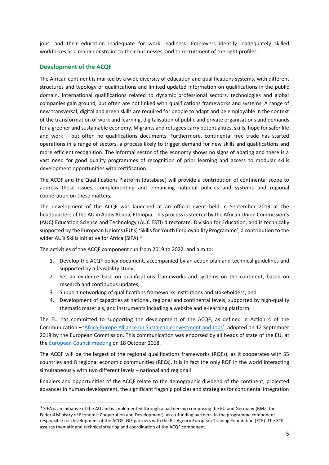jobs, and their education inadequate for work readiness. Employers identify inadequately skilled workforces as a major constraint to their businesses, and to recruitment of the right profiles.

#### **Development of the ACQF**

The African continent is marked by a wide diversity of education and qualifications systems, with different structures and typology of qualifications and limited updated information on qualifications in the public domain. International qualifications related to dynamic professional sectors, technologies and global companies gain ground, but often are not linked with qualifications frameworks and systems. A range of new transversal, digital and green skills are required for people to adapt and be employable in the context of the transformation of work and learning, digitalisation of public and private organisations and demands for a greener and sustainable economy. Migrants and refugees carry potentialities, skills, hope for safer life and work – but often no qualifications documents. Furthermore, continental free trade has started operations in a range of sectors, a process likely to trigger demand for new skills and qualifications and more efficient recognition. The informal sector of the economy shows no signs of abating and there is a vast need for good quality programmes of recognition of prior learning and access to modular skills development opportunities with certification.

The ACQF and the Qualifications Platform (database) will provide a contribution of continental scope to address these issues, complementing and enhancing national policies and systems and regional cooperation on these matters.

The development of the ACQF was launched at an official event held in September 2019 at the headquarters of the AU in Addis Ababa, Ethiopia. This process is steered by the African Union Commission's (AUC) Education Science and Technology (AUC ESTI) directorate, Division for Education, and is technically supported by the European Union's (EU's) 'Skills for Youth Employability Programme', a contribution to the wider AU's Skills Initiative for Africa (SIFA).<sup>9</sup>

The activities of the ACQF component run from 2019 to 2022, and aim to:

- 1. Develop the ACQF policy document, accompanied by an action plan and technical guidelines and supported by a feasibility study;
- 2. Set an evidence base on qualifications frameworks and systems on the continent, based on research and continuous updates;
- 3. Support networking of qualifications frameworks institutions and stakeholders; and
- 4. Development of capacities at national, regional and continental levels, supported by high-quality thematic materials, and instruments including a website and e-learning platform.

The EU has committed to supporting the development of the ACQF, as defined in Action 4 of the Communication – 'Africa-[Europe Alliance on Sustainable Investment and Jobs'](https://eur-lex.europa.eu/legal-content/EN/TXT/?qid=1537433689163&uri=CELEX:52018DC0643), adopted on 12 September 2018 by the European Commission. This communication was endorsed by all heads of state of the EU, at th[e European Council meeting](https://www.consilium.europa.eu/media/36775/18-euco-final-conclusions-en.pdf) on 18 October 2018.

The ACQF will be the largest of the regional qualifications frameworks (RQFs), as it cooperates with 55 countries and 8 regional economic communities (RECs). It is in fact the only RQF in the world interacting simultaneously with two different levels – national and regional!

Enablers and opportunities of the ACQF relate to the demographic dividend of the continent, projected advances in human development, the significant flagship policies and strategies for continental integration

<sup>&</sup>lt;sup>9</sup> SIFA is an initiative of the AU and is implemented through a partnership comprising the EU and Germany (BMZ, the Federal Ministry of Economic Cooperation and Development), as co-funding partners. In the programme component responsible for development of the ACQF, GIZ partners with the EU Agency European Training Foundation (ETF). The ETF assures thematic and technical steering and coordination of the ACQF component.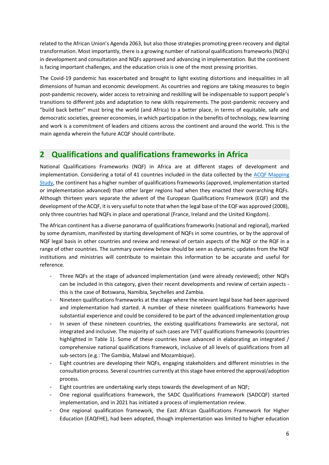related to the African Union's Agenda 2063, but also those strategies promoting green recovery and digital transformation. Most importantly, there is a growing number of national qualifications frameworks (NQFs) in development and consultation and NQFs approved and advancing in implementation. But the continent is facing important challenges, and the education crisis is one of the most pressing priorities.

The Covid-19 pandemic has exacerbated and brought to light existing distortions and inequalities in all dimensions of human and economic development. As countries and regions are taking measures to begin post-pandemic recovery, wider access to retraining and reskilling will be indispensable to support people's transitions to different jobs and adaptation to new skills requirements. The post-pandemic recovery and "build back better" must bring the world (and Africa) to a better place, in terms of equitable, safe and democratic societies, greener economies, in which participation in the benefits of technology, new learning and work is a commitment of leaders and citizens across the continent and around the world. This is the main agenda wherein the future ACQF should contribute.

### <span id="page-5-0"></span>**2 Qualifications and qualifications frameworks in Africa**

National Qualifications Frameworks (NQF) in Africa are at different stages of development and implementation. Considering a total of 41 countries included in the data collected by the [ACQF Mapping](https://acqf.africa/resources/mapping-study)  [Study,](https://acqf.africa/resources/mapping-study) the continent has a higher number of qualifications frameworks (approved, implementation started or implementation advanced) than other larger regions had when they enacted their overarching RQFs. Although thirteen years separate the advent of the European Qualifications Framework (EQF) and the development of the ACQF, it is very useful to note that when the legal base of the EQF was approved (2008), only three countries had NQFs in place and operational (France, Ireland and the United Kingdom).

The African continent has a diverse panorama of qualifications frameworks (national and regional), marked by some dynamism, manifested by starting development of NQFs in some countries, or by the approval of NQF legal basis in other countries and review and renewal of certain aspects of the NQF or the RQF in a range of other countries. The summary overview below should be seen as dynamic; updates from the NQF institutions and ministries will contribute to maintain this information to be accurate and useful for reference.

- Three NQFs at the stage of advanced implementation (and were already reviewed); other NQFs can be included in this category, given their recent developments and review of certain aspects this is the case of Botswana, Namibia, Seychelles and Zambia.
- Nineteen qualifications frameworks at the stage where the relevant legal base had been approved and implementation had started. A number of these nineteen qualifications frameworks have substantial experience and could be considered to be part of the advanced implementation group
- In seven of these nineteen countries, the existing qualifications frameworks are sectoral, not integrated and inclusive. The majority of such cases are TVET qualifications frameworks (countries highlighted in Table 1). Some of these countries have advanced in elaborating an integrated / comprehensive national qualifications framework, inclusive of all levels of qualifications from all sub-sectors (e.g.: The Gambia, Malawi and Mozambique).
- Eight countries are developing their NQFs, engaging stakeholders and different ministries in the consultation process. Several countries currently at thisstage have entered the approval/adoption process.
- Eight countries are undertaking early steps towards the development of an NQF;
- One regional qualifications framework, the SADC Qualifications Framework (SADCQF) started implementation, and in 2021 has initiated a process of implementation review.
- One regional qualification framework, the East African Qualifications Framework for Higher Education (EAQFHE), had been adopted, though implementation was limited to higher education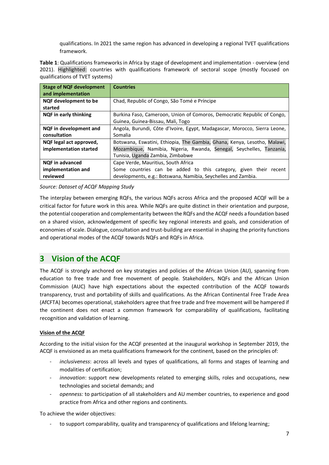qualifications. In 2021 the same region has advanced in developing a regional TVET qualifications framework.

**Table 1**: Qualifications frameworks in Africa by stage of development and implementation - overview (end 2021). Highlighted: countries with qualifications framework of sectoral scope (mostly focused on qualifications of TVET systems)

| <b>Stage of NQF development</b><br>and implementation | <b>Countries</b>                                                          |
|-------------------------------------------------------|---------------------------------------------------------------------------|
| NQF development to be                                 | Chad, Republic of Congo, São Tomé e Príncipe                              |
| started                                               |                                                                           |
| NQF in early thinking                                 | Burkina Faso, Cameroon, Union of Comoros, Democratic Republic of Congo,   |
|                                                       | Guinea, Guinea-Bissau, Mali, Togo                                         |
| NQF in development and                                | Angola, Burundi, Côte d'Ivoire, Egypt, Madagascar, Morocco, Sierra Leone, |
| consultation                                          | Somalia                                                                   |
| NQF legal act approved,                               | Botswana, Eswatini, Ethiopia, The Gambia, Ghana, Kenya, Lesotho, Malawi,  |
| implementation started                                | Mozambique, Namibia, Nigeria, Rwanda, Senegal, Seychelles, Tanzania,      |
|                                                       | Tunisia, Uganda Zambia, Zimbabwe                                          |
| <b>NQF</b> in advanced                                | Cape Verde, Mauritius, South Africa                                       |
| implementation and                                    | Some countries can be added to this category, given their recent          |
| reviewed                                              | developments, e.g.: Botswana, Namibia, Seychelles and Zambia.             |

#### *Source: Dataset of ACQF Mapping Study*

The interplay between emerging RQFs, the various NQFs across Africa and the proposed ACQF will be a critical factor for future work in this area. While NQFs are quite distinct in their orientation and purpose, the potential cooperation and complementarity between the RQFs and the ACQF needs a foundation based on a shared vision, acknowledgement of specific key regional interests and goals, and consideration of economies of scale. Dialogue, consultation and trust-building are essential in shaping the priority functions and operational modes of the ACQF towards NQFs and RQFs in Africa.

### <span id="page-6-0"></span>**3 Vision of the ACQF**

The ACQF is strongly anchored on key strategies and policies of the African Union (AU), spanning from education to free trade and free movement of people. Stakeholders, NQFs and the African Union Commission (AUC) have high expectations about the expected contribution of the ACQF towards transparency, trust and portability of skills and qualifications. As the African Continental Free Trade Area (AfCFTA) becomes operational, stakeholders agree that free trade and free movement will be hampered if the continent does not enact a common framework for comparability of qualifications, facilitating recognition and validation of learning.

#### **Vision of the ACQF**

According to the initial vision for the ACQF presented at the inaugural workshop in September 2019, the ACQF is envisioned as an meta qualifications framework for the continent, based on the principles of:

- inclusiveness: across all levels and types of qualifications, all forms and stages of learning and modalities of certification;
- *innovation*: support new developments related to emerging skills, roles and occupations, new technologies and societal demands; and
- *openness:* to participation of all stakeholders and AU member countries, to experience and good practice from Africa and other regions and continents.

To achieve the wider objectives:

to support comparability, quality and transparency of qualifications and lifelong learning;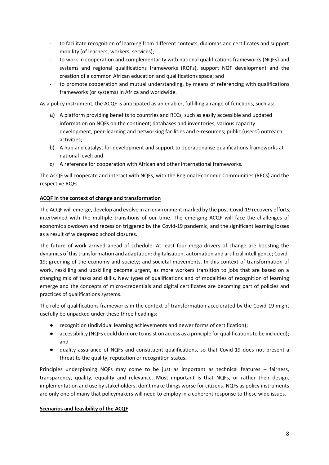- to facilitate recognition of learning from different contexts, diplomas and certificates and support mobility (of learners, workers, services);
- to work in cooperation and complementarity with national qualifications frameworks (NQFs) and systems and regional qualifications frameworks (RQFs), support NQF development and the creation of a common African education and qualifications space; and
- to promote cooperation and mutual understanding, by means of referencing with qualifications frameworks (or systems) in Africa and worldwide.

As a policy instrument, the ACQF is anticipated as an enabler, fulfilling a range of functions, such as:

- a) A platform providing benefits to countries and RECs, such as easily accessible and updated information on NQFs on the continent; databases and inventories; various capacity development, peer-learning and networking facilities and e-resources; public (users') outreach activities;
- b) A hub and catalyst for development and support to operationalise qualifications frameworks at national level; and
- c) A reference for cooperation with African and other international frameworks.

The ACQF will cooperate and interact with NQFs, with the Regional Economic Communities (RECs) and the respective RQFs.

#### **ACQF in the context of change and transformation**

The ACQF will emerge, develop and evolve in an environment marked by the post-Covid-19 recovery efforts, intertwined with the multiple transitions of our time. The emerging ACQF will face the challenges of economic slowdown and recession triggered by the Covid-19 pandemic, and the significant learning losses as a result of widespread school closures.

The future of work arrived ahead of schedule. At least four mega drivers of change are boosting the dynamics of this transformation and adaptation: digitalisation, automation and artificial intelligence; Covid-19; greening of the economy and society; and societal movements. In this context of transformation of work, reskilling and upskilling become urgent, as more workers transition to jobs that are based on a changing mix of tasks and skills. New types of qualifications and of modalities of recognition of learning emerge and the concepts of micro-credentials and digital certificates are becoming part of policies and practices of qualifications systems.

The role of qualifications frameworks in the context of transformation accelerated by the Covid-19 might usefully be unpacked under these three headings:

- recognition (individual learning achievements and newer forms of certification);
- accessibility (NQFs could do more to insist on access as a principle for qualifications to be included); and
- quality assurance of NQFs and constituent qualifications, so that Covid-19 does not present a threat to the quality, reputation or recognition status.

Principles underpinning NQFs may come to be just as important as technical features – fairness, transparency, quality, equality and relevance. Most important is that NQFs, or rather their design, implementation and use by stakeholders, don't make things worse for citizens. NQFs as policy instruments are only one of many that policymakers will need to employ in a coherent response to these wide issues.

#### **Scenarios and feasibility of the ACQF**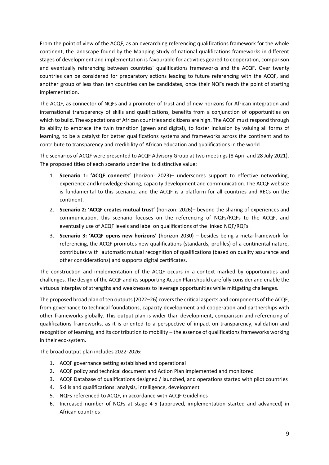From the point of view of the ACQF, as an overarching referencing qualifications framework for the whole continent, the landscape found by the Mapping Study of national qualifications frameworks in different stages of development and implementation is favourable for activities geared to cooperation, comparison and eventually referencing between countries' qualifications frameworks and the ACQF. Over twenty countries can be considered for preparatory actions leading to future referencing with the ACQF, and another group of less than ten countries can be candidates, once their NQFs reach the point of starting implementation.

The ACQF, as connector of NQFs and a promoter of trust and of new horizons for African integration and international transparency of skills and qualifications, benefits from a conjunction of opportunities on which to build. The expectations of African countries and citizens are high. The ACQF must respond through its ability to embrace the twin transition (green and digital), to foster inclusion by valuing all forms of learning, to be a catalyst for better qualifications systems and frameworks across the continent and to contribute to transparency and credibility of African education and qualifications in the world.

The scenarios of ACQF were presented to ACQF Advisory Group at two meetings (8 April and 28 July 2021). The proposed titles of each scenario underline its distinctive value:

- 1. **Scenario 1: 'ACQF connects'** (horizon: 2023)– underscores support to effective networking, experience and knowledge sharing, capacity development and communication. The ACQF website is fundamental to this scenario, and the ACQF is a platform for all countries and RECs on the continent.
- 2. **Scenario 2: 'ACQF creates mutual trust'** (horizon: 2026)– beyond the sharing of experiences and communication, this scenario focuses on the referencing of NQFs/RQFs to the ACQF, and eventually use of ACQF levels and label on qualifications of the linked NQF/RQFs.
- 3. **Scenario 3: 'ACQF opens new horizons'** (horizon 2030) besides being a meta-framework for referencing, the ACQF promotes new qualifications (standards, profiles) of a continental nature, contributes with automatic mutual recognition of qualifications (based on quality assurance and other considerations) and supports digital certificates.

The construction and implementation of the ACQF occurs in a context marked by opportunities and challenges. The design of the ACQF and its supporting Action Plan should carefully consider and enable the virtuous interplay of strengths and weaknesses to leverage opportunities while mitigating challenges.

The proposed broad plan of ten outputs (2022–26) covers the critical aspects and components of the ACQF, from governance to technical foundations, capacity development and cooperation and partnerships with other frameworks globally. This output plan is wider than development, comparison and referencing of qualifications frameworks, as it is oriented to a perspective of impact on transparency, validation and recognition of learning, and its contribution to mobility – the essence of qualifications frameworks working in their eco-system.

The broad output plan includes 2022-2026:

- 1. ACQF governance setting established and operational
- 2. ACQF policy and technical document and Action Plan implemented and monitored
- 3. ACQF Database of qualifications designed / launched, and operations started with pilot countries
- 4. Skills and qualifications: analysis, intelligence, development
- 5. NQFs referenced to ACQF, in accordance with ACQF Guidelines
- 6. Increased number of NQFs at stage 4-5 (approved, implementation started and advanced) in African countries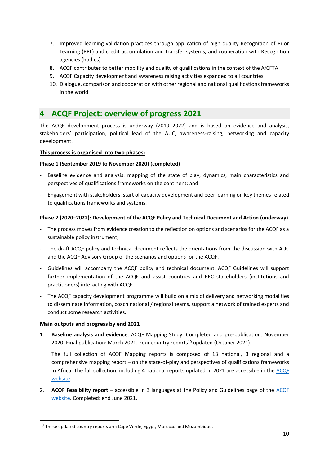- 7. Improved learning validation practices through application of high quality Recognition of Prior Learning (RPL) and credit accumulation and transfer systems, and cooperation with Recognition agencies (bodies)
- 8. ACQF contributes to better mobility and quality of qualifications in the context of the AfCFTA
- 9. ACQF Capacity development and awareness raising activities expanded to all countries
- 10. Dialogue, comparison and cooperation with other regional and national qualifications frameworks in the world

### <span id="page-9-0"></span>**4 ACQF Project: overview of progress 2021**

The ACQF development process is underway (2019–2022) and is based on evidence and analysis, stakeholders' participation, political lead of the AUC, awareness-raising, networking and capacity development.

#### **This process is organised into two phases:**

#### **Phase 1 (September 2019 to November 2020) (completed)**

- Baseline evidence and analysis: mapping of the state of play, dynamics, main characteristics and perspectives of qualifications frameworks on the continent; and
- Engagement with stakeholders, start of capacity development and peer learning on key themes related to qualifications frameworks and systems.

#### **Phase 2 (2020–2022): Development of the ACQF Policy and Technical Document and Action (underway)**

- The process moves from evidence creation to the reflection on options and scenarios for the ACQF as a sustainable policy instrument;
- The draft ACQF policy and technical document reflects the orientations from the discussion with AUC and the ACQF Advisory Group of the scenarios and options for the ACQF.
- Guidelines will accompany the ACQF policy and technical document. ACQF Guidelines will support further implementation of the ACQF and assist countries and REC stakeholders (institutions and practitioners) interacting with ACQF.
- The ACQF capacity development programme will build on a mix of delivery and networking modalities to disseminate information, coach national / regional teams, support a network of trained experts and conduct some research activities.

#### **Main outputs and progress by end 2021**

1. **Baseline analysis and evidence**: ACQF Mapping Study. Completed and pre-publication: November 2020. Final publication: March 2021. Four country reports<sup>10</sup> updated (October 2021).

The full collection of ACQF Mapping reports is composed of 13 national, 3 regional and a comprehensive mapping report – on the state-of-play and perspectives of qualifications frameworks in Africa. The full collection, including 4 national reports updated in 2021 are accessible in the ACQF [website.](https://acqf.africa/resources/mapping-study)

2. **ACQF Feasibility report** – accessible in 3 languages at the Policy and Guidelines page of the [ACQF](https://acqf.africa/resources/policy-guidelines/feasibility-study)  [website.](https://acqf.africa/resources/policy-guidelines/feasibility-study) Completed: end June 2021.

 $10$  These updated country reports are: Cape Verde, Egypt, Morocco and Mozambique.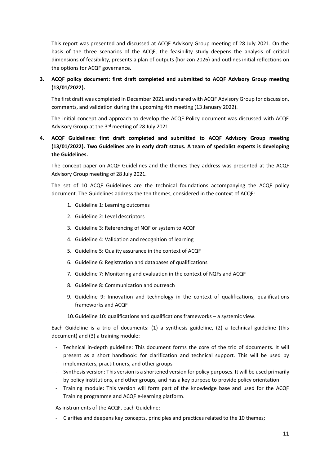This report was presented and discussed at ACQF Advisory Group meeting of 28 July 2021. On the basis of the three scenarios of the ACQF, the feasibility study deepens the analysis of critical dimensions of feasibility, presents a plan of outputs (horizon 2026) and outlines initial reflections on the options for ACQF governance.

#### **3. ACQF policy document: first draft completed and submitted to ACQF Advisory Group meeting (13/01/2022).**

The first draft was completed in December 2021 and shared with ACQF Advisory Group for discussion, comments, and validation during the upcoming 4th meeting (13 January 2022).

The initial concept and approach to develop the ACQF Policy document was discussed with ACQF Advisory Group at the 3rd meeting of 28 July 2021.

#### **4. ACQF Guidelines: first draft completed and submitted to ACQF Advisory Group meeting (13/01/2022). Two Guidelines are in early draft status. A team of specialist experts is developing the Guidelines.**

The concept paper on ACQF Guidelines and the themes they address was presented at the ACQF Advisory Group meeting of 28 July 2021.

The set of 10 ACQF Guidelines are the technical foundations accompanying the ACQF policy document. The Guidelines address the ten themes, considered in the context of ACQF:

- 1. Guideline 1: Learning outcomes
- 2. Guideline 2: Level descriptors
- 3. Guideline 3: Referencing of NQF or system to ACQF
- 4. Guideline 4: Validation and recognition of learning
- 5. Guideline 5: Quality assurance in the context of ACQF
- 6. Guideline 6: Registration and databases of qualifications
- 7. Guideline 7: Monitoring and evaluation in the context of NQFs and ACQF
- 8. Guideline 8: Communication and outreach
- 9. Guideline 9: Innovation and technology in the context of qualifications, qualifications frameworks and ACQF
- 10.Guideline 10: qualifications and qualifications frameworks a systemic view.

Each Guideline is a trio of documents: (1) a synthesis guideline, (2) a technical guideline (this document) and (3) a training module:

- Technical in-depth guideline: This document forms the core of the trio of documents. It will present as a short handbook: for clarification and technical support. This will be used by implementers, practitioners, and other groups
- Synthesis version: This version is a shortened version for policy purposes. It will be used primarily by policy institutions, and other groups, and has a key purpose to provide policy orientation
- Training module: This version will form part of the knowledge base and used for the ACQF Training programme and ACQF e-learning platform.

As instruments of the ACQF, each Guideline:

- Clarifies and deepens key concepts, principles and practices related to the 10 themes;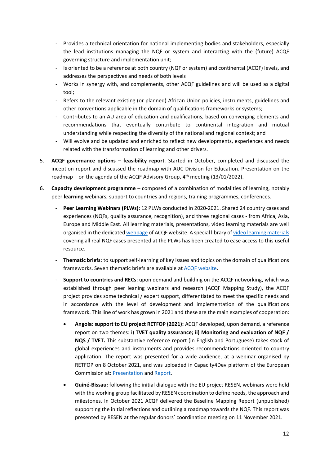- Provides a technical orientation for national implementing bodies and stakeholders, especially the lead institutions managing the NQF or system and interacting with the (future) ACQF governing structure and implementation unit;
- Is oriented to be a reference at both country (NQF or system) and continental (ACQF) levels, and addresses the perspectives and needs of both levels
- Works in synergy with, and complements, other ACQF guidelines and will be used as a digital tool;
- Refers to the relevant existing (or planned) African Union policies, instruments, guidelines and other conventions applicable in the domain of qualifications frameworks or systems;
- Contributes to an AU area of education and qualifications, based on converging elements and recommendations that eventually contribute to continental integration and mutual understanding while respecting the diversity of the national and regional context; and
- Will evolve and be updated and enriched to reflect new developments, experiences and needs related with the transformation of learning and other drivers.
- 5. **ACQF governance options – feasibility report**. Started in October, completed and discussed the inception report and discussed the roadmap with AUC Division for Education. Presentation on the roadmap – on the agenda of the ACQF Advisory Group,  $4<sup>th</sup>$  meeting (13/01/2022).
- 6. **Capacity development programme** composed of a combination of modalities of learning, notably peer **learning** webinars, support to countries and regions, training programmes, conferences.
	- Peer Learning Webinars (PLWs): 12 PLWs conducted in 2020-2021. Shared 24 country cases and experiences (NQFs, quality assurance, recognition), and three regional cases - from Africa, Asia, Europe and Middle East. All learning materials, presentations, video learning materials are well organised in the dedicate[d webpage](https://acqf.africa/capacity-development-programme/webinars) of ACQF website. A special library o[f video learning materials](https://acqf.africa/capacity-development-programme/nqfs-learning-materials) covering all real NQF cases presented at the PLWs has been created to ease access to this useful resource.
	- **Thematic briefs**: to support self-learning of key issues and topics on the domain of qualifications frameworks. Seven thematic briefs are available at [ACQF website.](https://acqf.africa/capacity-development-programme/thematic-briefs)
	- **Support to countries and RECs**: upon demand and building on the ACQF networking, which was established through peer leaning webinars and research (ACQF Mapping Study), the ACQF project provides some technical / expert support, differentiated to meet the specific needs and in accordance with the level of development and implementation of the qualifications framework. This line of work has grown in 2021 and these are the main examples of cooperation:
		- **Angola: support to EU project RETFOP (2021):** ACQF developed, upon demand, a reference report on two themes: i) **TVET quality assurance; ii) Monitoring and evaluation of NQF / NQS / TVET.** This substantive reference report (in English and Portuguese) takes stock of global experiences and instruments and provides recommendations oriented to country application. The report was presented for a wide audience, at a webinar organised by RETFOP on 8 October 2021, and was uploaded in Capacity4Dev platform of the European Commission at: [Presentation](https://europa.eu/capacity4dev/projetoretfop/documents/apresentacao-powerpoint-do-webinar-sobre-sistemas-de-educacao-e-formacao-tecnica-e) an[d Report.](https://europa.eu/capacity4dev/projetoretfop/documents/relatorio-final-sistemas-de-educacao-e-formacao-tecnica-e-profissional-e-mecanismos-de)
		- **Guiné-Bissau:** following the initial dialogue with the EU project RESEN, webinars were held with the working group facilitated by RESEN coordination to define needs, the approach and milestones. In October 2021 ACQF delivered the Baseline Mapping Report (unpublished) supporting the initial reflections and outlining a roadmap towards the NQF. This report was presented by RESEN at the regular donors' coordination meeting on 11 November 2021.